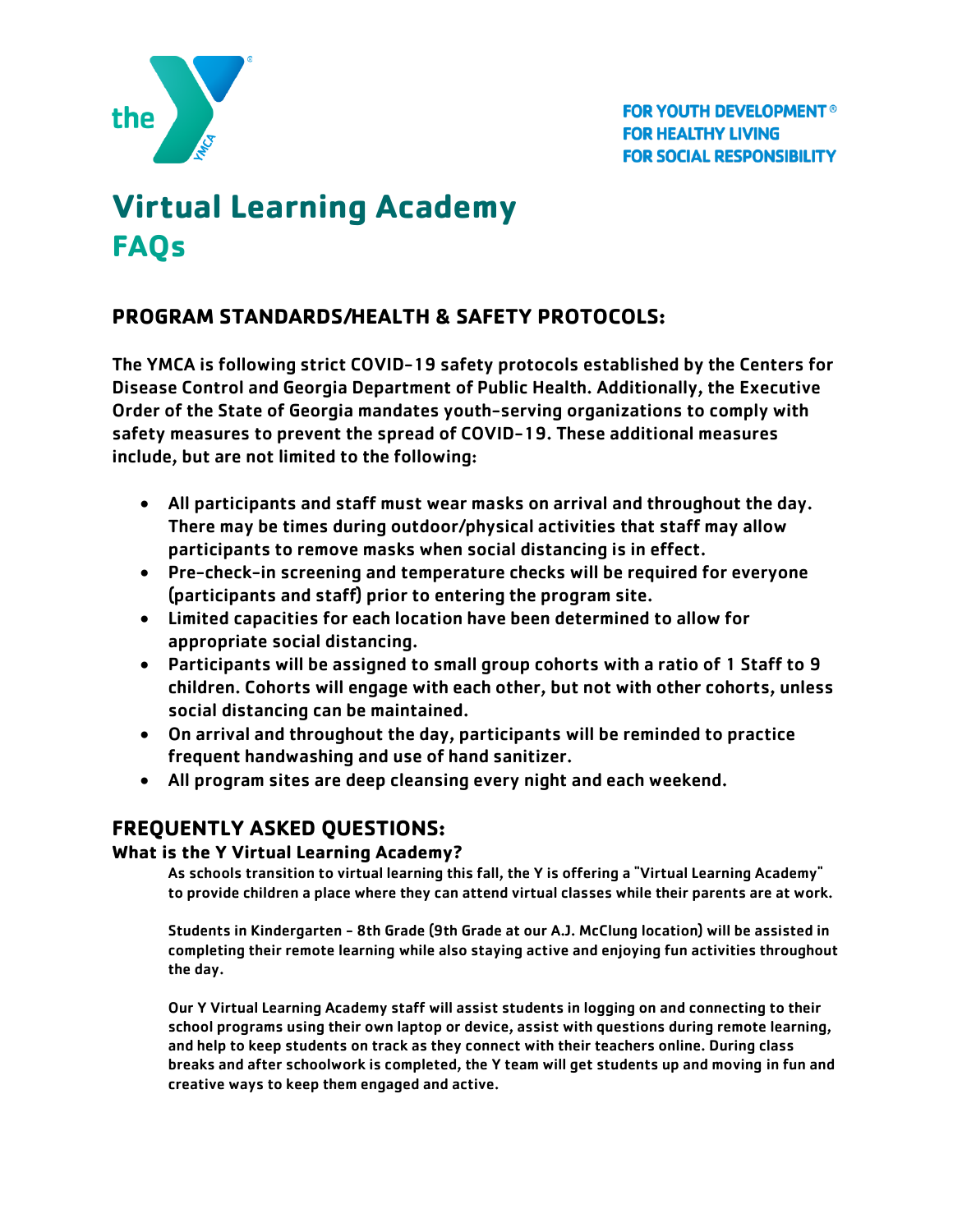

# **Virtual Learning Academy FAQs**

# **PROGRAM STANDARDS/HEALTH & SAFETY PROTOCOLS:**

The YMCA is following strict COVID-19 safety protocols established by the Centers for Disease Control and Georgia Department of Public Health. Additionally, the Executive Order of the State of Georgia mandates youth-serving organizations to comply with safety measures to prevent the spread of COVID-19. These additional measures include, but are not limited to the following:

- All participants and staff must wear masks on arrival and throughout the day. There may be times during outdoor/physical activities that staff may allow participants to remove masks when social distancing is in effect.
- Pre-check-in screening and temperature checks will be required for everyone (participants and staff) prior to entering the program site.
- Limited capacities for each location have been determined to allow for appropriate social distancing.
- Participants will be assigned to small group cohorts with a ratio of 1 Staff to 9 children. Cohorts will engage with each other, but not with other cohorts, unless social distancing can be maintained.
- On arrival and throughout the day, participants will be reminded to practice frequent handwashing and use of hand sanitizer.
- All program sites are deep cleansing every night and each weekend.

# **FREQUENTLY ASKED QUESTIONS:**

# **What is the Y Virtual Learning Academy?**

As schools transition to virtual learning this fall, the Y is offering a "Virtual Learning Academy" to provide children a place where they can attend virtual classes while their parents are at work.

Students in Kindergarten - 8th Grade (9th Grade at our A.J. McClung location) will be assisted in completing their remote learning while also staying active and enjoying fun activities throughout the day.

Our Y Virtual Learning Academy staff will assist students in logging on and connecting to their school programs using their own laptop or device, assist with questions during remote learning, and help to keep students on track as they connect with their teachers online. During class breaks and after schoolwork is completed, the Y team will get students up and moving in fun and creative ways to keep them engaged and active.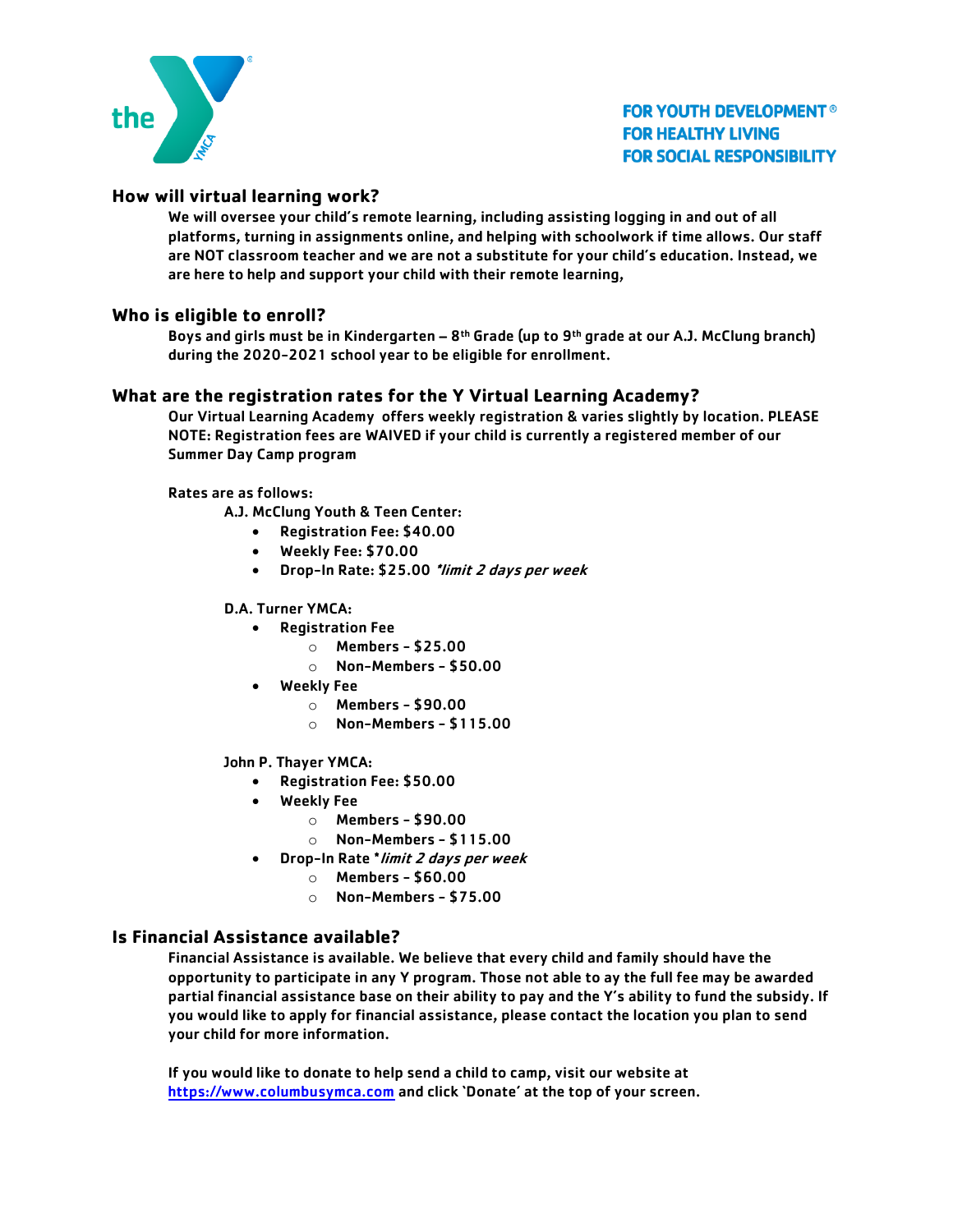

# **How will virtual learning work?**

We will oversee your child's remote learning, including assisting logging in and out of all platforms, turning in assignments online, and helping with schoolwork if time allows. Our staff are NOT classroom teacher and we are not a substitute for your child's education. Instead, we are here to help and support your child with their remote learning,

#### **Who is eligible to enroll?**

Boys and girls must be in Kindergarten – 8<sup>th</sup> Grade (up to 9<sup>th</sup> grade at our A.J. McClung branch) during the 2020-2021 school year to be eligible for enrollment.

#### **What are the registration rates for the Y Virtual Learning Academy?**

Our Virtual Learning Academy offers weekly registration & varies slightly by location. PLEASE NOTE: Registration fees are WAIVED if your child is currently a registered member of our Summer Day Camp program

Rates are as follows:

A.J. McClung Youth & Teen Center:

- Registration Fee: \$40.00
- Weekly Fee: \$70.00
- Drop-In Rate: \$25.00 \*limit 2 days per week

#### D.A. Turner YMCA:

- Registration Fee
	- o Members \$25.00
	- o Non-Members \$50.00
- Weekly Fee
	- $\circ$  Members \$90.00
	- $\circ$  Non-Members \$115.00

#### John P. Thayer YMCA:

- Registration Fee: \$50.00
- **Weekly Fee** 
	- $\circ$  Members \$90.00
	- o Non-Members \$115.00
- Drop-In Rate \*limit 2 days per week
	- $\circ$  Members \$60.00
	- $\circ$  Non-Members \$75.00

#### **Is Financial Assistance available?**

Financial Assistance is available. We believe that every child and family should have the opportunity to participate in any Y program. Those not able to ay the full fee may be awarded partial financial assistance base on their ability to pay and the Y's ability to fund the subsidy. If you would like to apply for financial assistance, please contact the location you plan to send your child for more information.

If you would like to donate to help send a child to camp, visit our website at [https://www.columbusymca.com](https://www.columbusymca.com/) and click 'Donate' at the top of your screen.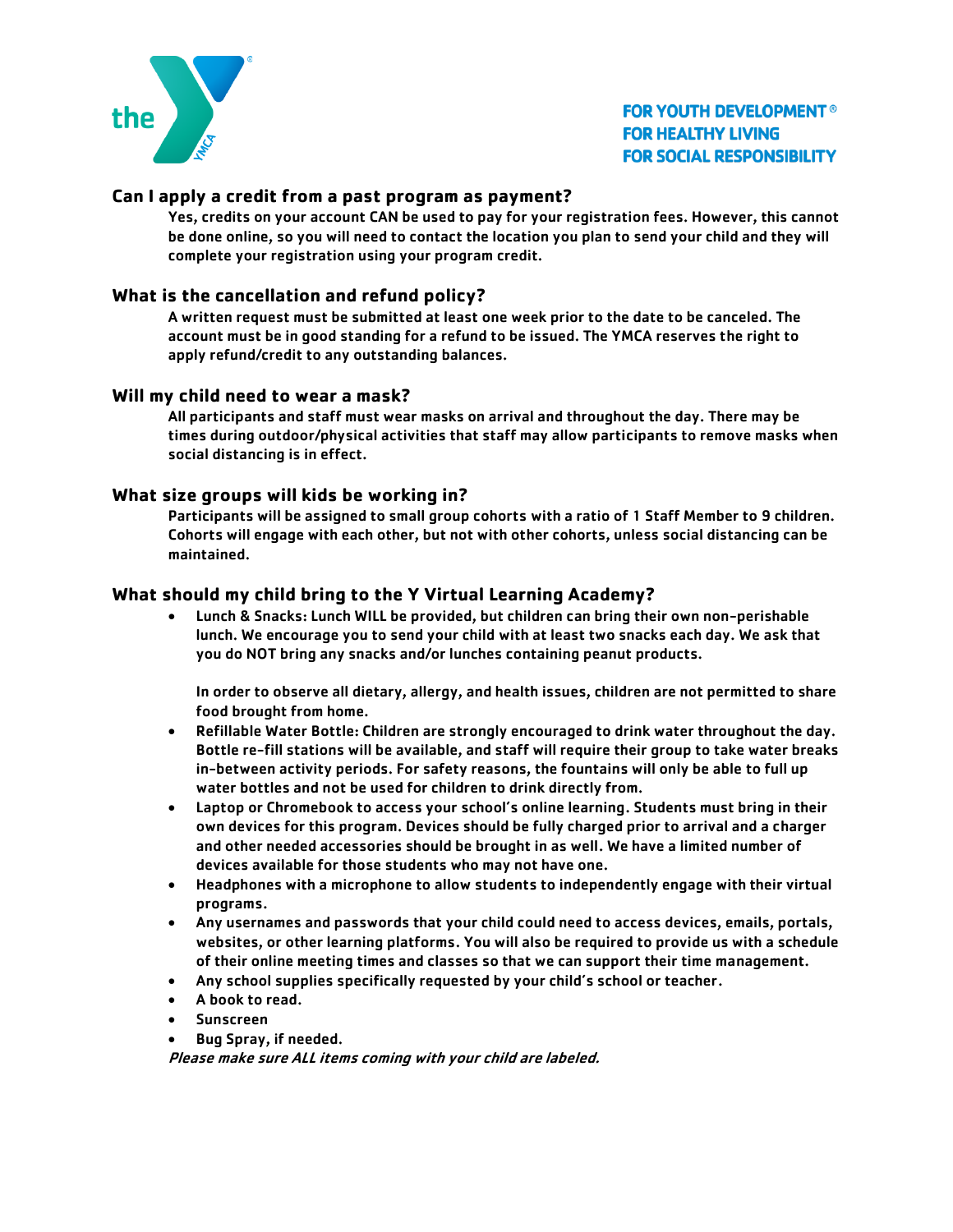

## **Can I apply a credit from a past program as payment?**

Yes, credits on your account CAN be used to pay for your registration fees. However, this cannot be done online, so you will need to contact the location you plan to send your child and they will complete your registration using your program credit.

### **What is the cancellation and refund policy?**

A written request must be submitted at least one week prior to the date to be canceled. The account must be in good standing for a refund to be issued. The YMCA reserves the right to apply refund/credit to any outstanding balances.

#### **Will my child need to wear a mask?**

All participants and staff must wear masks on arrival and throughout the day. There may be times during outdoor/physical activities that staff may allow participants to remove masks when social distancing is in effect.

#### **What size groups will kids be working in?**

Participants will be assigned to small group cohorts with a ratio of 1 Staff Member to 9 children. Cohorts will engage with each other, but not with other cohorts, unless social distancing can be maintained.

#### **What should my child bring to the Y Virtual Learning Academy?**

• Lunch & Snacks: Lunch WILL be provided, but children can bring their own non-perishable lunch. We encourage you to send your child with at least two snacks each day. We ask that you do NOT bring any snacks and/or lunches containing peanut products.

In order to observe all dietary, allergy, and health issues, children are not permitted to share food brought from home.

- Refillable Water Bottle: Children are strongly encouraged to drink water throughout the day. Bottle re-fill stations will be available, and staff will require their group to take water breaks in-between activity periods. For safety reasons, the fountains will only be able to full up water bottles and not be used for children to drink directly from.
- Laptop or Chromebook to access your school's online learning. Students must bring in their own devices for this program. Devices should be fully charged prior to arrival and a charger and other needed accessories should be brought in as well. We have a limited number of devices available for those students who may not have one.
- Headphones with a microphone to allow students to independently engage with their virtual programs.
- Any usernames and passwords that your child could need to access devices, emails, portals, websites, or other learning platforms. You will also be required to provide us with a schedule of their online meeting times and classes so that we can support their time management.
- Any school supplies specifically requested by your child's school or teacher.
- A book to read.
- Sunscreen
- Bug Spray, if needed.

Please make sure ALL items coming with your child are labeled.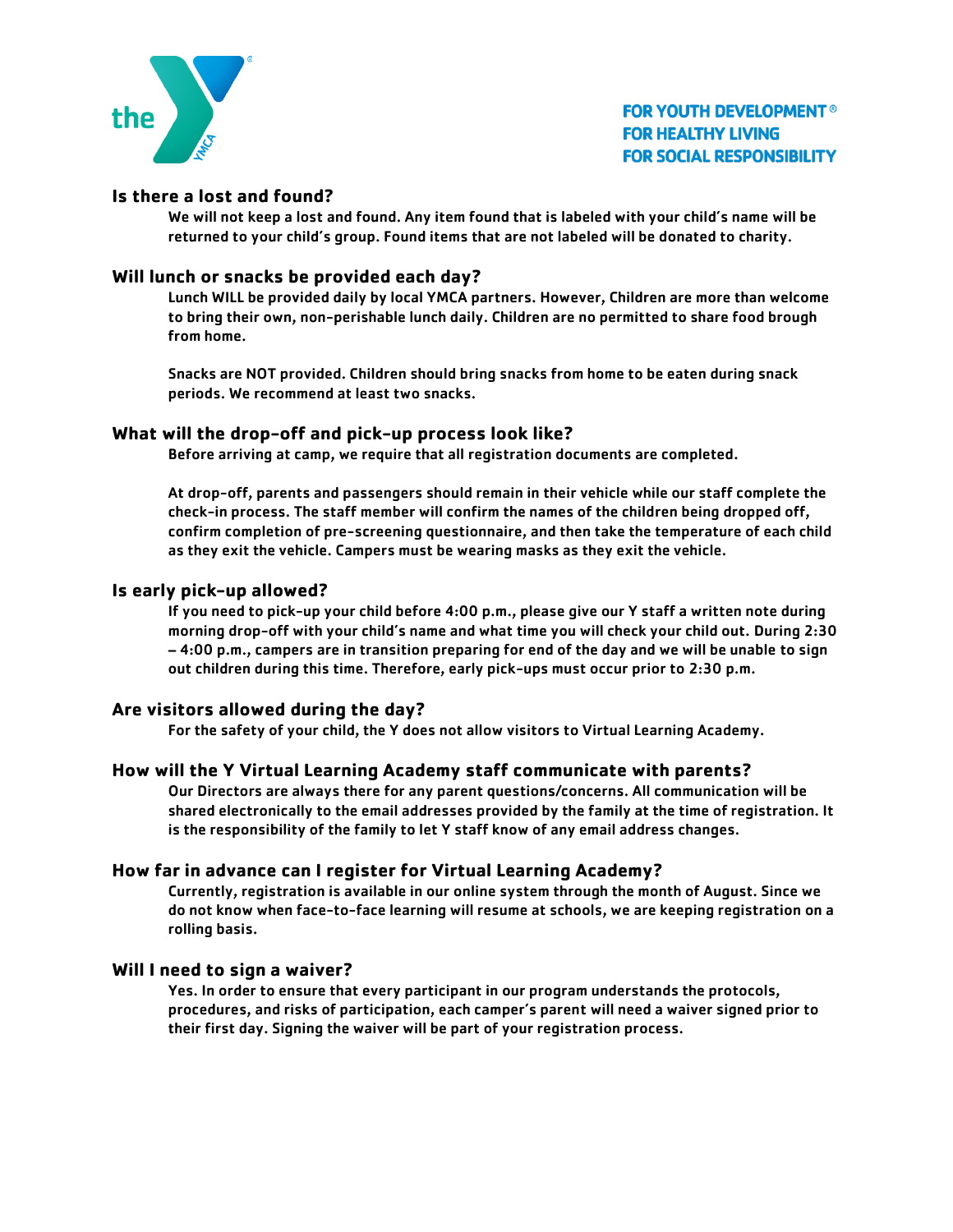

## **Is there a lost and found?**

We will not keep a lost and found. Any item found that is labeled with your child's name will be returned to your child's group. Found items that are not labeled will be donated to charity.

#### **Will lunch or snacks be provided each day?**

Lunch WILL be provided daily by local YMCA partners. However, Children are more than welcome to bring their own, non-perishable lunch daily. Children are no permitted to share food brough from home.

Snacks are NOT provided. Children should bring snacks from home to be eaten during snack periods. We recommend at least two snacks.

#### **What will the drop-off and pick-up process look like?**

Before arriving at camp, we require that all registration documents are completed.

At drop-off, parents and passengers should remain in their vehicle while our staff complete the check-in process. The staff member will confirm the names of the children being dropped off, confirm completion of pre-screening questionnaire, and then take the temperature of each child as they exit the vehicle. Campers must be wearing masks as they exit the vehicle.

#### **Is early pick-up allowed?**

If you need to pick-up your child before 4:00 p.m., please give our Y staff a written note during morning drop-off with your child's name and what time you will check your child out. During 2:30 – 4:00 p.m., campers are in transition preparing for end of the day and we will be unable to sign out children during this time. Therefore, early pick-ups must occur prior to 2:30 p.m.

#### **Are visitors allowed during the day?**

For the safety of your child, the Y does not allow visitors to Virtual Learning Academy.

#### **How will the Y Virtual Learning Academy staff communicate with parents?**

Our Directors are always there for any parent questions/concerns. All communication will be shared electronically to the email addresses provided by the family at the time of registration. It is the responsibility of the family to let Y staff know of any email address changes.

#### **How far in advance can I register for Virtual Learning Academy?**

Currently, registration is available in our online system through the month of August. Since we do not know when face-to-face learning will resume at schools, we are keeping registration on a rolling basis.

#### **Will I need to sign a waiver?**

Yes. In order to ensure that every participant in our program understands the protocols, procedures, and risks of participation, each camper's parent will need a waiver signed prior to their first day. Signing the waiver will be part of your registration process.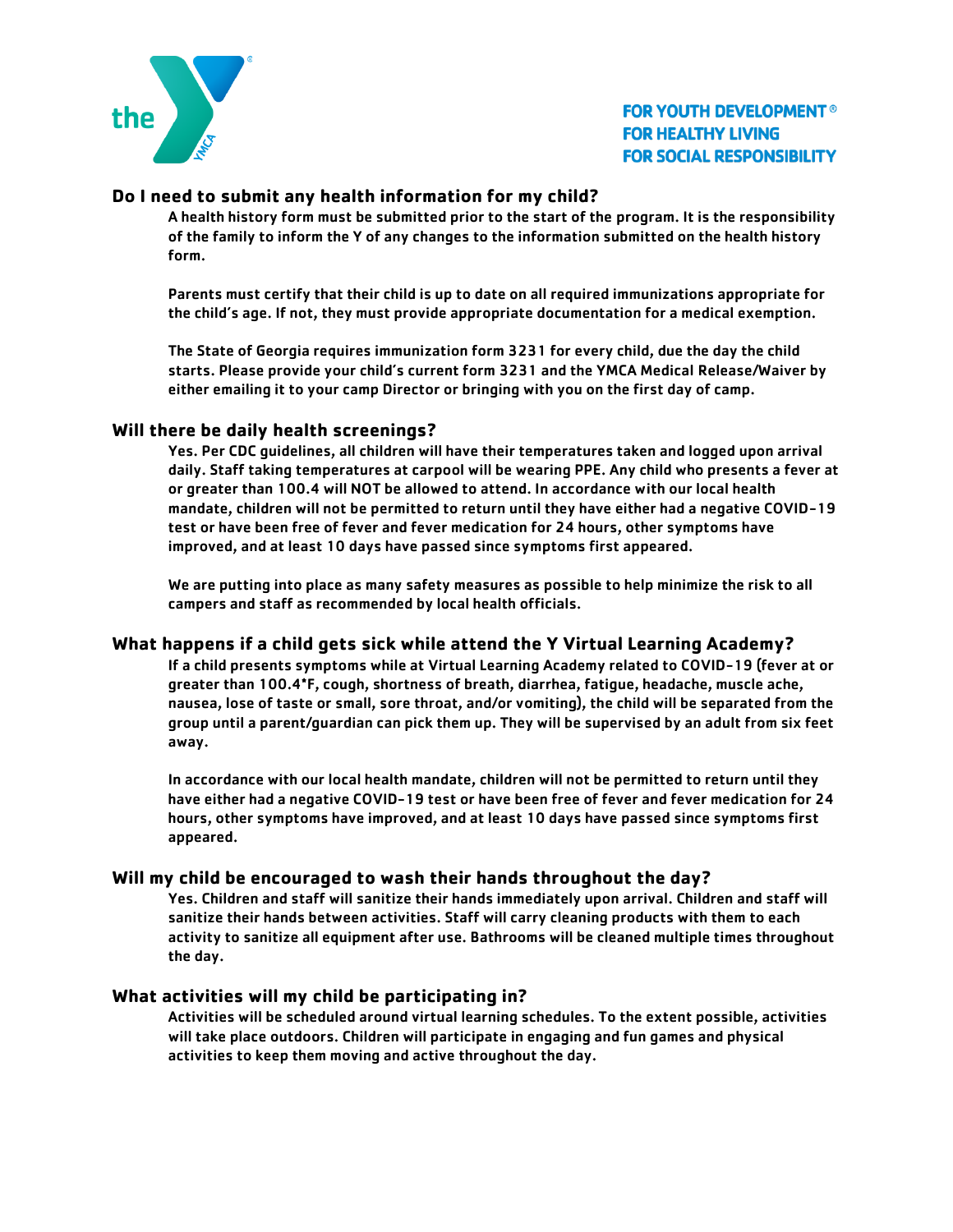

# **Do I need to submit any health information for my child?**

A health history form must be submitted prior to the start of the program. It is the responsibility of the family to inform the Y of any changes to the information submitted on the health history form.

Parents must certify that their child is up to date on all required immunizations appropriate for the child's age. If not, they must provide appropriate documentation for a medical exemption.

The State of Georgia requires immunization form 3231 for every child, due the day the child starts. Please provide your child's current form 3231 and the YMCA Medical Release/Waiver by either emailing it to your camp Director or bringing with you on the first day of camp.

#### **Will there be daily health screenings?**

Yes. Per CDC guidelines, all children will have their temperatures taken and logged upon arrival daily. Staff taking temperatures at carpool will be wearing PPE. Any child who presents a fever at or greater than 100.4 will NOT be allowed to attend. In accordance with our local health mandate, children will not be permitted to return until they have either had a negative COVID-19 test or have been free of fever and fever medication for 24 hours, other symptoms have improved, and at least 10 days have passed since symptoms first appeared.

We are putting into place as many safety measures as possible to help minimize the risk to all campers and staff as recommended by local health officials.

#### **What happens if a child gets sick while attend the Y Virtual Learning Academy?**

If a child presents symptoms while at Virtual Learning Academy related to COVID-19 (fever at or greater than 100.4\*F, cough, shortness of breath, diarrhea, fatigue, headache, muscle ache, nausea, lose of taste or small, sore throat, and/or vomiting), the child will be separated from the group until a parent/guardian can pick them up. They will be supervised by an adult from six feet away.

In accordance with our local health mandate, children will not be permitted to return until they have either had a negative COVID-19 test or have been free of fever and fever medication for 24 hours, other symptoms have improved, and at least 10 days have passed since symptoms first appeared.

#### **Will my child be encouraged to wash their hands throughout the day?**

Yes. Children and staff will sanitize their hands immediately upon arrival. Children and staff will sanitize their hands between activities. Staff will carry cleaning products with them to each activity to sanitize all equipment after use. Bathrooms will be cleaned multiple times throughout the day.

#### **What activities will my child be participating in?**

Activities will be scheduled around virtual learning schedules. To the extent possible, activities will take place outdoors. Children will participate in engaging and fun games and physical activities to keep them moving and active throughout the day.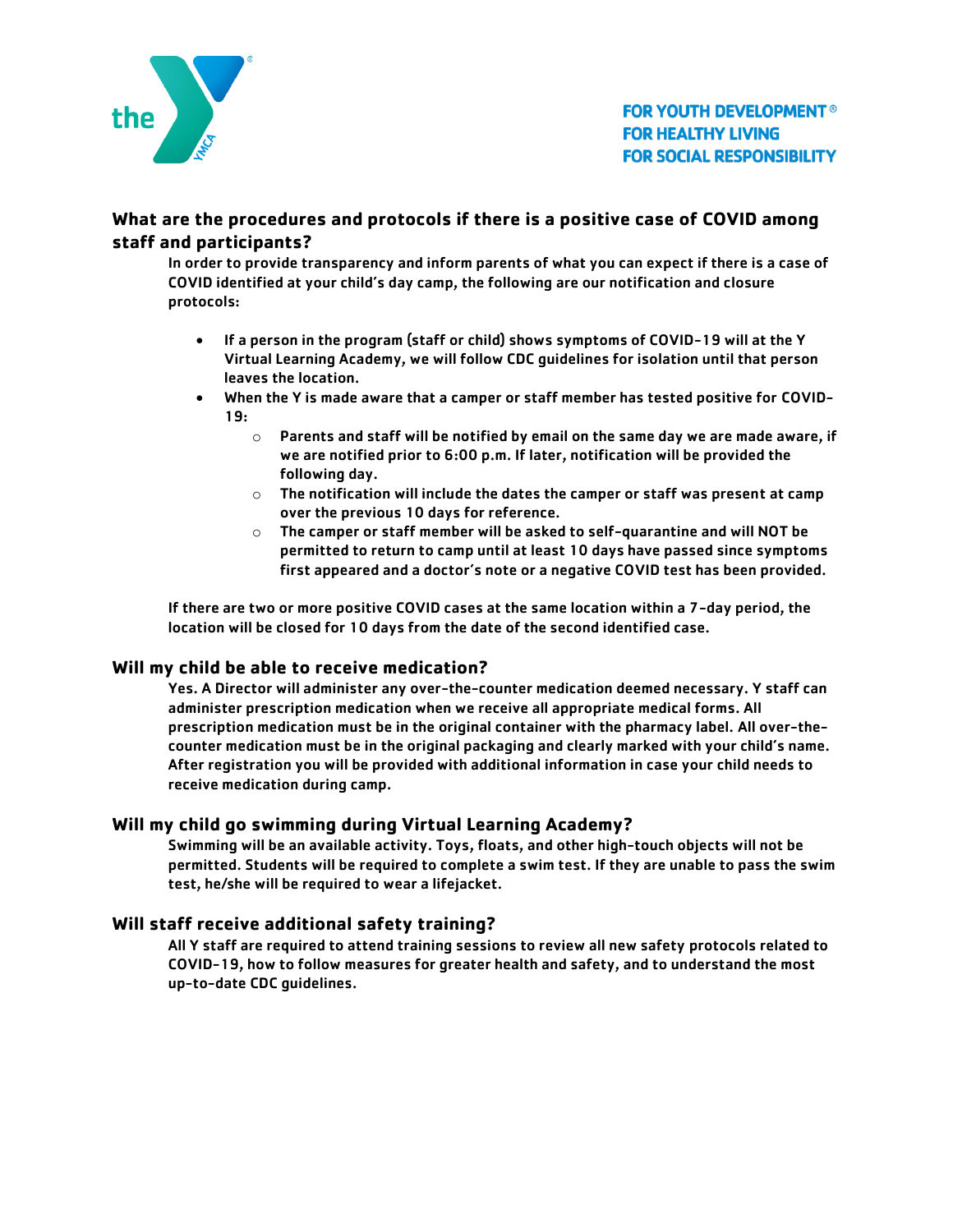

# **What are the procedures and protocols if there is a positive case of COVID among staff and participants?**

In order to provide transparency and inform parents of what you can expect if there is a case of COVID identified at your child's day camp, the following are our notification and closure protocols:

- If a person in the program (staff or child) shows symptoms of COVID-19 will at the Y Virtual Learning Academy, we will follow CDC guidelines for isolation until that person leaves the location.
- When the Y is made aware that a camper or staff member has tested positive for COVID-19:
	- $\circ$  Parents and staff will be notified by email on the same day we are made aware, if we are notified prior to 6:00 p.m. If later, notification will be provided the following day.
	- $\circ$  The notification will include the dates the camper or staff was present at camp over the previous 10 days for reference.
	- o The camper or staff member will be asked to self-quarantine and will NOT be permitted to return to camp until at least 10 days have passed since symptoms first appeared and a doctor's note or a negative COVID test has been provided.

If there are two or more positive COVID cases at the same location within a 7-day period, the location will be closed for 10 days from the date of the second identified case.

#### **Will my child be able to receive medication?**

Yes. A Director will administer any over-the-counter medication deemed necessary. Y staff can administer prescription medication when we receive all appropriate medical forms. All prescription medication must be in the original container with the pharmacy label. All over-thecounter medication must be in the original packaging and clearly marked with your child's name. After registration you will be provided with additional information in case your child needs to receive medication during camp.

#### **Will my child go swimming during Virtual Learning Academy?**

Swimming will be an available activity. Toys, floats, and other high-touch objects will not be permitted. Students will be required to complete a swim test. If they are unable to pass the swim test, he/she will be required to wear a lifejacket.

#### **Will staff receive additional safety training?**

All Y staff are required to attend training sessions to review all new safety protocols related to COVID-19, how to follow measures for greater health and safety, and to understand the most up-to-date CDC guidelines.